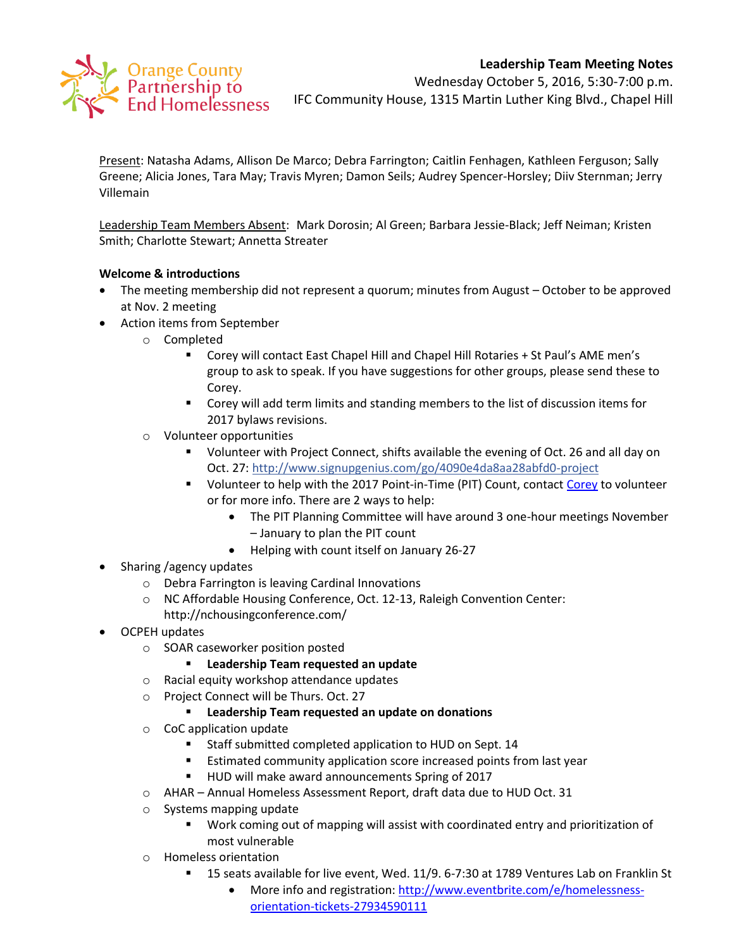# **Leadership Team Meeting Notes**



Wednesday October 5, 2016, 5:30-7:00 p.m. IFC Community House, 1315 Martin Luther King Blvd., Chapel Hill

Present: Natasha Adams, Allison De Marco; Debra Farrington; Caitlin Fenhagen, Kathleen Ferguson; Sally Greene; Alicia Jones, Tara May; Travis Myren; Damon Seils; Audrey Spencer-Horsley; Diiv Sternman; Jerry Villemain

Leadership Team Members Absent: Mark Dorosin; Al Green; Barbara Jessie-Black; Jeff Neiman; Kristen Smith; Charlotte Stewart; Annetta Streater

#### **Welcome & introductions**

- The meeting membership did not represent a quorum; minutes from August October to be approved at Nov. 2 meeting
- Action items from September
	- o Completed
		- Corey will contact East Chapel Hill and Chapel Hill Rotaries + St Paul's AME men's group to ask to speak. If you have suggestions for other groups, please send these to Corey.
		- Corey will add term limits and standing members to the list of discussion items for 2017 bylaws revisions.
	- o Volunteer opportunities
		- Volunteer with Project Connect, shifts available the evening of Oct. 26 and all day on Oct. 27:<http://www.signupgenius.com/go/4090e4da8aa28abfd0-project>
		- Uolunteer to help with the 2017 Point-in-Time (PIT) Count, contact [Corey](mailto:croot@orangecountync.gov) to volunteer or for more info. There are 2 ways to help:
			- The PIT Planning Committee will have around 3 one-hour meetings November – January to plan the PIT count
			- Helping with count itself on January 26-27
- Sharing /agency updates
	- o Debra Farrington is leaving Cardinal Innovations
	- o NC Affordable Housing Conference, Oct. 12-13, Raleigh Convention Center: http://nchousingconference.com/
- OCPEH updates
	- o SOAR caseworker position posted
		- **Leadership Team requested an update**
	- o Racial equity workshop attendance updates
	- o Project Connect will be Thurs. Oct. 27
		- **Leadership Team requested an update on donations**
	- o CoC application update
		- **Staff submitted completed application to HUD on Sept. 14**
		- **Estimated community application score increased points from last year**
		- **HUD will make award announcements Spring of 2017**
	- o AHAR Annual Homeless Assessment Report, draft data due to HUD Oct. 31
	- o Systems mapping update
		- Work coming out of mapping will assist with coordinated entry and prioritization of most vulnerable
	- o Homeless orientation
		- 15 seats available for live event, Wed. 11/9. 6-7:30 at 1789 Ventures Lab on Franklin St
			- More info and registration: [http://www.eventbrite.com/e/homelessness](http://www.eventbrite.com/e/homelessness-orientation-tickets-27934590111?aff=utm_source%3Deb_email%26utm_medium%3Demail%26utm_campaign%3Dnew_event_email&utm_term=eventurl_text)[orientation-tickets-27934590111](http://www.eventbrite.com/e/homelessness-orientation-tickets-27934590111?aff=utm_source%3Deb_email%26utm_medium%3Demail%26utm_campaign%3Dnew_event_email&utm_term=eventurl_text)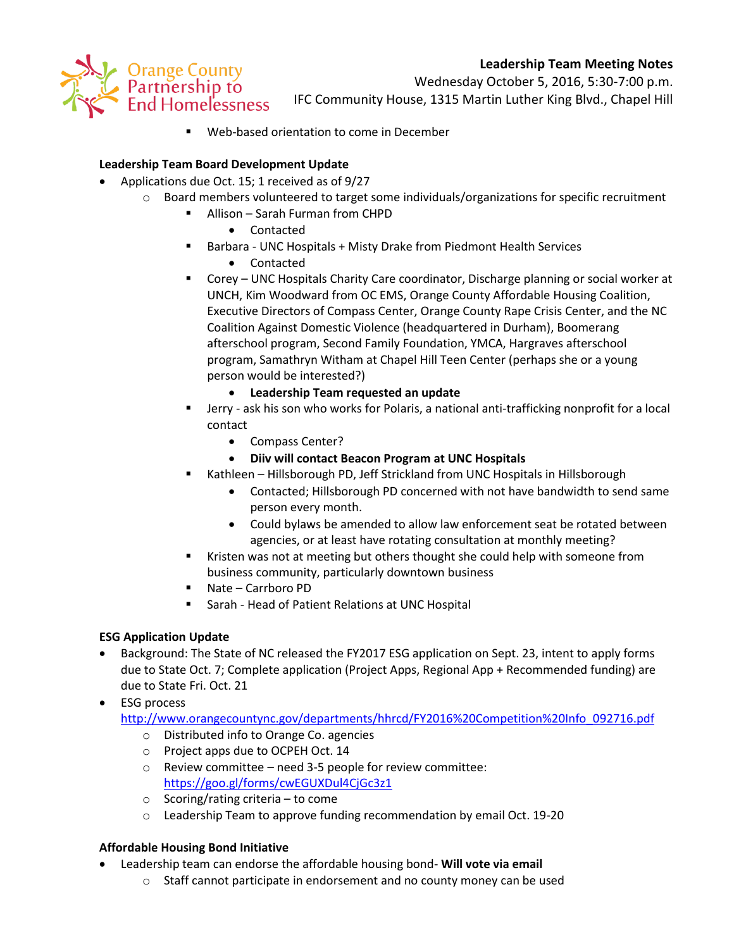# **Leadership Team Meeting Notes**



Wednesday October 5, 2016, 5:30-7:00 p.m. IFC Community House, 1315 Martin Luther King Blvd., Chapel Hill

Web-based orientation to come in December

## **Leadership Team Board Development Update**

- Applications due Oct. 15; 1 received as of 9/27
	- $\circ$  Board members volunteered to target some individuals/organizations for specific recruitment
		- Allison Sarah Furman from CHPD
			- Contacted
		- Barbara UNC Hospitals + Misty Drake from Piedmont Health Services
			- Contacted
		- Corey UNC Hospitals Charity Care coordinator, Discharge planning or social worker at UNCH, Kim Woodward from OC EMS, Orange County Affordable Housing Coalition, Executive Directors of Compass Center, Orange County Rape Crisis Center, and the NC Coalition Against Domestic Violence (headquartered in Durham), Boomerang afterschool program, Second Family Foundation, YMCA, Hargraves afterschool program, Samathryn Witham at Chapel Hill Teen Center (perhaps she or a young person would be interested?)
			- **Leadership Team requested an update**
		- Jerry ask his son who works for Polaris, a national anti-trafficking nonprofit for a local contact
			- Compass Center?
			- **Diiv will contact Beacon Program at UNC Hospitals**
		- Kathleen Hillsborough PD, Jeff Strickland from UNC Hospitals in Hillsborough
			- Contacted; Hillsborough PD concerned with not have bandwidth to send same person every month.
			- Could bylaws be amended to allow law enforcement seat be rotated between agencies, or at least have rotating consultation at monthly meeting?
		- Kristen was not at meeting but others thought she could help with someone from business community, particularly downtown business
		- Nate Carrboro PD
		- Sarah Head of Patient Relations at UNC Hospital

## **ESG Application Update**

- Background: The State of NC released the FY2017 ESG application on Sept. 23, intent to apply forms due to State Oct. 7; Complete application (Project Apps, Regional App + Recommended funding) are due to State Fri. Oct. 21
- ESG process

[http://www.orangecountync.gov/departments/hhrcd/FY2016%20Competition%20Info\\_092716.pdf](http://www.orangecountync.gov/departments/hhrcd/FY2016%20Competition%20Info_092716.pdf)

- o Distributed info to Orange Co. agencies
- o Project apps due to OCPEH Oct. 14
- o Review committee need 3-5 people for review committee: <https://goo.gl/forms/cwEGUXDul4CjGc3z1>
- $\circ$  Scoring/rating criteria to come
- o Leadership Team to approve funding recommendation by email Oct. 19-20

## **Affordable Housing Bond Initiative**

- Leadership team can endorse the affordable housing bond- **Will vote via email**
	- o Staff cannot participate in endorsement and no county money can be used